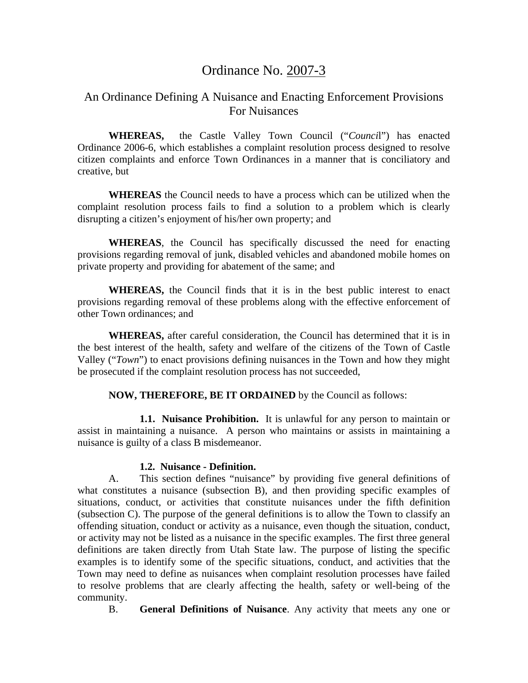# Ordinance No. 2007-3

## An Ordinance Defining A Nuisance and Enacting Enforcement Provisions For Nuisances

**WHEREAS,** the Castle Valley Town Council ("*Counci*l") has enacted Ordinance 2006-6, which establishes a complaint resolution process designed to resolve citizen complaints and enforce Town Ordinances in a manner that is conciliatory and creative, but

**WHEREAS** the Council needs to have a process which can be utilized when the complaint resolution process fails to find a solution to a problem which is clearly disrupting a citizen's enjoyment of his/her own property; and

**WHEREAS**, the Council has specifically discussed the need for enacting provisions regarding removal of junk, disabled vehicles and abandoned mobile homes on private property and providing for abatement of the same; and

 **WHEREAS,** the Council finds that it is in the best public interest to enact provisions regarding removal of these problems along with the effective enforcement of other Town ordinances; and

 **WHEREAS,** after careful consideration, the Council has determined that it is in the best interest of the health, safety and welfare of the citizens of the Town of Castle Valley ("*Town*") to enact provisions defining nuisances in the Town and how they might be prosecuted if the complaint resolution process has not succeeded,

#### **NOW, THEREFORE, BE IT ORDAINED** by the Council as follows:

 **1.1. Nuisance Prohibition.** It is unlawful for any person to maintain or assist in maintaining a nuisance. A person who maintains or assists in maintaining a nuisance is guilty of a class B misdemeanor.

#### **1.2. Nuisance - Definition.**

 A. This section defines "nuisance" by providing five general definitions of what constitutes a nuisance (subsection B), and then providing specific examples of situations, conduct, or activities that constitute nuisances under the fifth definition (subsection C). The purpose of the general definitions is to allow the Town to classify an offending situation, conduct or activity as a nuisance, even though the situation, conduct, or activity may not be listed as a nuisance in the specific examples. The first three general definitions are taken directly from Utah State law. The purpose of listing the specific examples is to identify some of the specific situations, conduct, and activities that the Town may need to define as nuisances when complaint resolution processes have failed to resolve problems that are clearly affecting the health, safety or well-being of the community.

B. **General Definitions of Nuisance**. Any activity that meets any one or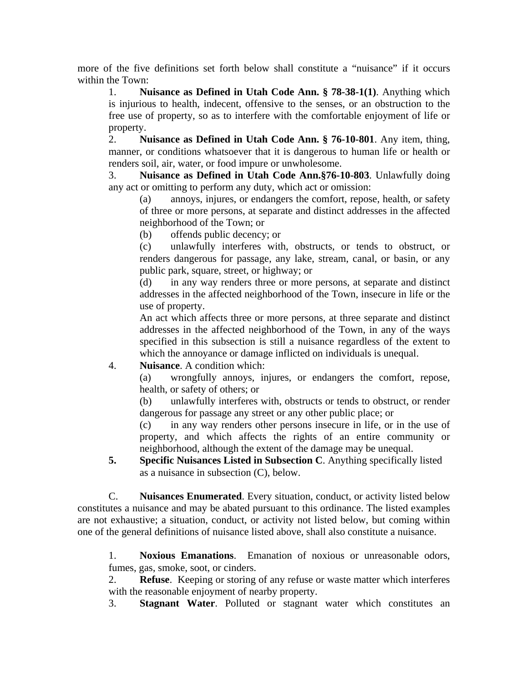more of the five definitions set forth below shall constitute a "nuisance" if it occurs within the Town:

1. **Nuisance as Defined in Utah Code Ann. § 78-38-1(1)**. Anything which is injurious to health, indecent, offensive to the senses, or an obstruction to the free use of property, so as to interfere with the comfortable enjoyment of life or property.

2. **Nuisance as Defined in Utah Code Ann. § 76-10-801**. Any item, thing, manner, or conditions whatsoever that it is dangerous to human life or health or renders soil, air, water, or food impure or unwholesome.

3. **Nuisance as Defined in Utah Code Ann.§76-10-803**. Unlawfully doing any act or omitting to perform any duty, which act or omission:

(a) annoys, injures, or endangers the comfort, repose, health, or safety of three or more persons, at separate and distinct addresses in the affected neighborhood of the Town; or

(b) offends public decency; or

(c) unlawfully interferes with, obstructs, or tends to obstruct, or renders dangerous for passage, any lake, stream, canal, or basin, or any public park, square, street, or highway; or

(d) in any way renders three or more persons, at separate and distinct addresses in the affected neighborhood of the Town, insecure in life or the use of property.

An act which affects three or more persons, at three separate and distinct addresses in the affected neighborhood of the Town, in any of the ways specified in this subsection is still a nuisance regardless of the extent to which the annoyance or damage inflicted on individuals is unequal.

### 4. **Nuisance**. A condition which:

(a) wrongfully annoys, injures, or endangers the comfort, repose, health, or safety of others; or

(b) unlawfully interferes with, obstructs or tends to obstruct, or render dangerous for passage any street or any other public place; or

(c) in any way renders other persons insecure in life, or in the use of property, and which affects the rights of an entire community or neighborhood, although the extent of the damage may be unequal.

**5. Specific Nuisances Listed in Subsection C**. Anything specifically listed as a nuisance in subsection (C), below.

 C. **Nuisances Enumerated**. Every situation, conduct, or activity listed below constitutes a nuisance and may be abated pursuant to this ordinance. The listed examples are not exhaustive; a situation, conduct, or activity not listed below, but coming within one of the general definitions of nuisance listed above, shall also constitute a nuisance.

1. **Noxious Emanations**. Emanation of noxious or unreasonable odors, fumes, gas, smoke, soot, or cinders.

2. **Refuse**. Keeping or storing of any refuse or waste matter which interferes with the reasonable enjoyment of nearby property.

3. **Stagnant Water**. Polluted or stagnant water which constitutes an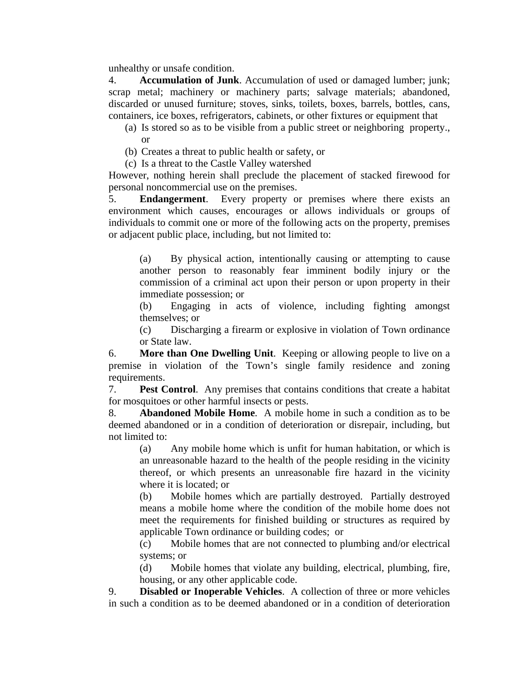unhealthy or unsafe condition.

4. **Accumulation of Junk**. Accumulation of used or damaged lumber; junk; scrap metal; machinery or machinery parts; salvage materials; abandoned, discarded or unused furniture; stoves, sinks, toilets, boxes, barrels, bottles, cans, containers, ice boxes, refrigerators, cabinets, or other fixtures or equipment that

(a) Is stored so as to be visible from a public street or neighboring property., or

(b) Creates a threat to public health or safety, or

(c) Is a threat to the Castle Valley watershed

However, nothing herein shall preclude the placement of stacked firewood for personal noncommercial use on the premises.

5. **Endangerment**. Every property or premises where there exists an environment which causes, encourages or allows individuals or groups of individuals to commit one or more of the following acts on the property, premises or adjacent public place, including, but not limited to:

(a) By physical action, intentionally causing or attempting to cause another person to reasonably fear imminent bodily injury or the commission of a criminal act upon their person or upon property in their immediate possession; or

(b) Engaging in acts of violence, including fighting amongst themselves; or

(c) Discharging a firearm or explosive in violation of Town ordinance or State law.

6. **More than One Dwelling Unit**. Keeping or allowing people to live on a premise in violation of the Town's single family residence and zoning requirements.

7. **Pest Control**. Any premises that contains conditions that create a habitat for mosquitoes or other harmful insects or pests.

8. **Abandoned Mobile Home**. A mobile home in such a condition as to be deemed abandoned or in a condition of deterioration or disrepair, including, but not limited to:

 (a) Any mobile home which is unfit for human habitation, or which is an unreasonable hazard to the health of the people residing in the vicinity thereof, or which presents an unreasonable fire hazard in the vicinity where it is located; or

(b) Mobile homes which are partially destroyed. Partially destroyed means a mobile home where the condition of the mobile home does not meet the requirements for finished building or structures as required by applicable Town ordinance or building codes; or

(c) Mobile homes that are not connected to plumbing and/or electrical systems; or

(d) Mobile homes that violate any building, electrical, plumbing, fire, housing, or any other applicable code.

9. **Disabled or Inoperable Vehicles**. A collection of three or more vehicles in such a condition as to be deemed abandoned or in a condition of deterioration